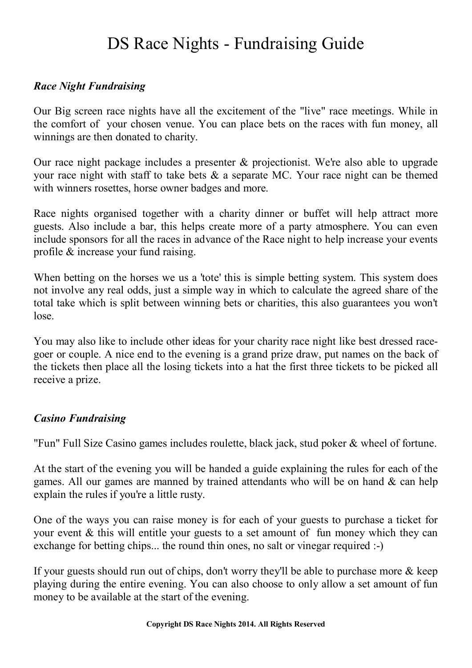# DS Race Nights - Fundraising Guide

## *Race Night Fundraising*

Our Big screen race nights have all the excitement of the "live" race meetings. While in the comfort of your chosen venue. You can place bets on the races with fun money, all winnings are then donated to charity.

Our race night package includes a presenter & projectionist. We're also able to upgrade your race night with staff to take bets & a separate MC. Your race night can be themed with winners rosettes, horse owner badges and more.

Race nights organised together with a charity dinner or buffet will help attract more guests. Also include a bar, this helps create more of a party atmosphere. You can even include sponsors for all the races in advance of the Race night to help increase your events profile & increase your fund raising.

When betting on the horses we us a 'tote' this is simple betting system. This system does not involve any real odds, just a simple way in which to calculate the agreed share of the total take which is split between winning bets or charities, this also guarantees you won't lose.

You may also like to include other ideas for your charity race night like best dressed racegoer or couple. A nice end to the evening is a grand prize draw, put names on the back of the tickets then place all the losing tickets into a hat the first three tickets to be picked all receive a prize.

## *Casino Fundraising*

"Fun" Full Size Casino games includes roulette, black jack, stud poker & wheel of fortune.

At the start of the evening you will be handed a guide explaining the rules for each of the games. All our games are manned by trained attendants who will be on hand & can help explain the rules if you're a little rusty.

One of the ways you can raise money is for each of your guests to purchase a ticket for your event & this will entitle your guests to a set amount of fun money which they can exchange for betting chips... the round thin ones, no salt or vinegar required :-)

If your guests should run out of chips, don't worry they'll be able to purchase more  $\&$  keep playing during the entire evening. You can also choose to only allow a set amount of fun money to be available at the start of the evening.